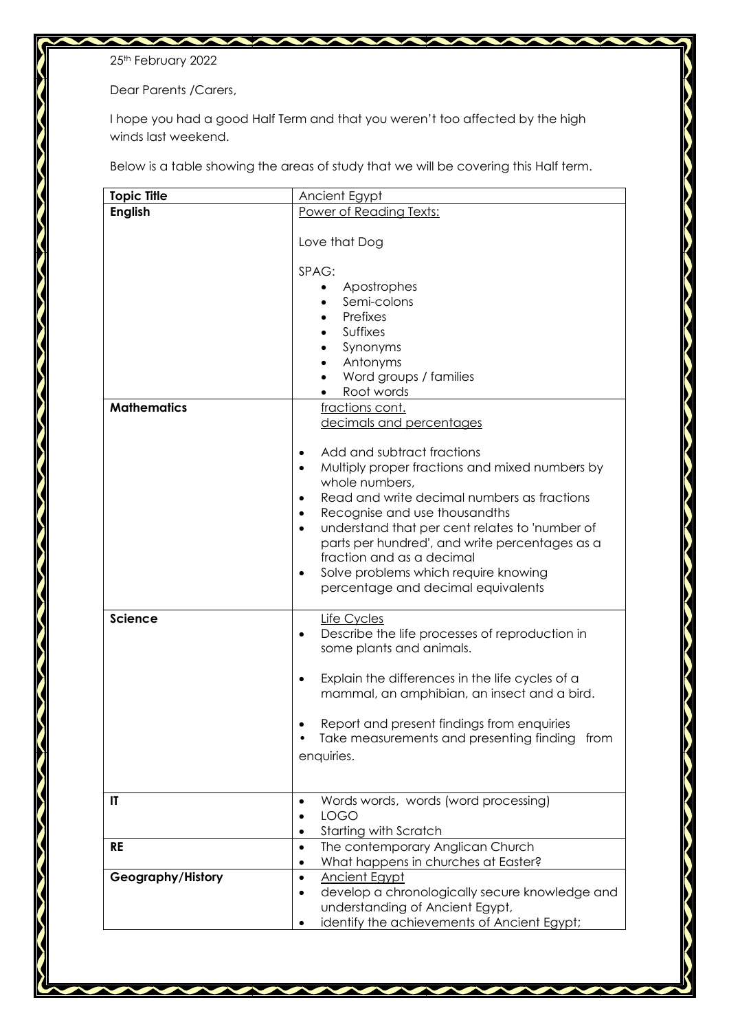25<sup>th</sup> February 2022

Dear Parents /Carers,

I hope you had a good Half Term and that you weren't too affected by the high winds last weekend.

Below is a table showing the areas of study that we will be covering this Half term.

| <b>Topic Title</b> | Ancient Egypt                                                                                                                                                                                                                                                                                                                                                                                                                                                                                                                                             |
|--------------------|-----------------------------------------------------------------------------------------------------------------------------------------------------------------------------------------------------------------------------------------------------------------------------------------------------------------------------------------------------------------------------------------------------------------------------------------------------------------------------------------------------------------------------------------------------------|
| <b>English</b>     | Power of Reading Texts:                                                                                                                                                                                                                                                                                                                                                                                                                                                                                                                                   |
| <b>Mathematics</b> | Love that Dog<br>SPAG:<br>Apostrophes<br>Semi-colons<br>Prefixes<br><b>Suffixes</b><br>Synonyms<br>Antonyms<br>Word groups / families<br>Root words<br>fractions cont.<br>decimals and percentages<br>Add and subtract fractions<br>$\bullet$<br>Multiply proper fractions and mixed numbers by<br>$\bullet$<br>whole numbers,<br>Read and write decimal numbers as fractions<br>$\bullet$<br>Recognise and use thousandths<br>$\bullet$<br>understand that per cent relates to 'number of<br>$\bullet$<br>parts per hundred', and write percentages as a |
|                    | fraction and as a decimal                                                                                                                                                                                                                                                                                                                                                                                                                                                                                                                                 |
|                    | Solve problems which require knowing<br>$\bullet$<br>percentage and decimal equivalents                                                                                                                                                                                                                                                                                                                                                                                                                                                                   |
| <b>Science</b>     | Life Cycles<br>Describe the life processes of reproduction in<br>$\bullet$<br>some plants and animals.                                                                                                                                                                                                                                                                                                                                                                                                                                                    |
|                    | Explain the differences in the life cycles of a<br>$\bullet$<br>mammal, an amphibian, an insect and a bird.                                                                                                                                                                                                                                                                                                                                                                                                                                               |
|                    | Report and present findings from enquiries<br>Take measurements and presenting finding from<br>enquiries.                                                                                                                                                                                                                                                                                                                                                                                                                                                 |
| IT                 | Words words, words (word processing)<br>$\bullet$<br><b>LOGO</b><br>Starting with Scratch                                                                                                                                                                                                                                                                                                                                                                                                                                                                 |
| <b>RE</b>          | The contemporary Anglican Church<br>$\bullet$<br>What happens in churches at Easter?<br>٠                                                                                                                                                                                                                                                                                                                                                                                                                                                                 |
| Geography/History  | <b>Ancient Egypt</b><br>$\bullet$<br>develop a chronologically secure knowledge and<br>$\bullet$<br>understanding of Ancient Egypt,<br>identify the achievements of Ancient Egypt;<br>$\bullet$                                                                                                                                                                                                                                                                                                                                                           |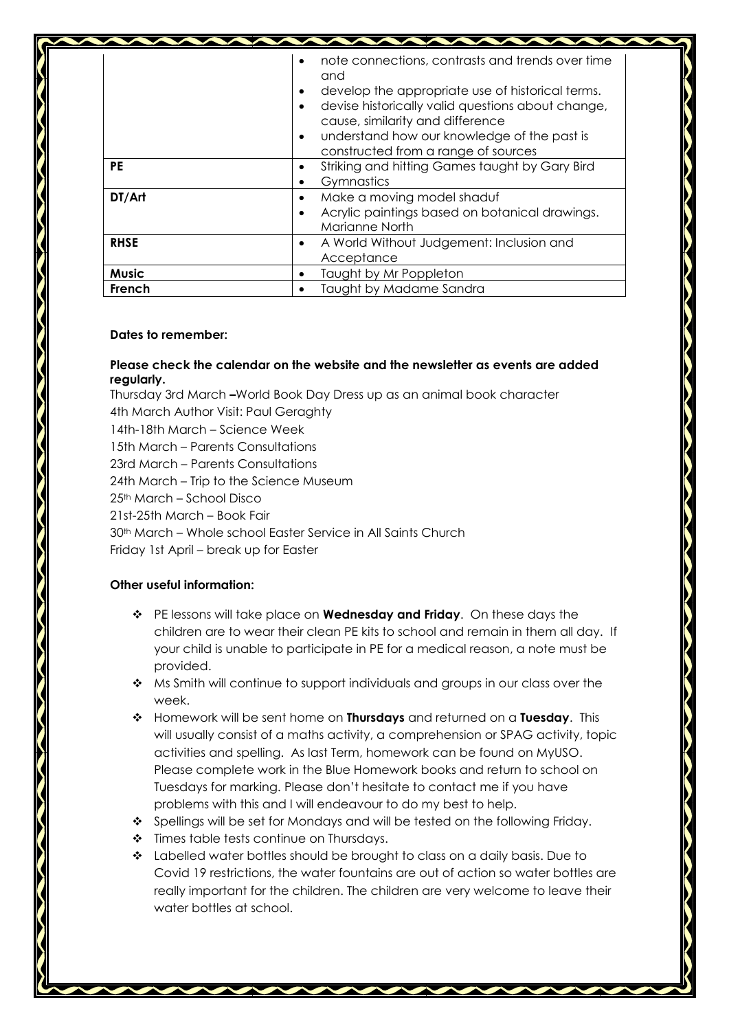|              | note connections, contrasts and trends over time<br>and<br>develop the appropriate use of historical terms.<br>$\bullet$<br>devise historically valid questions about change,<br>$\bullet$<br>cause, similarity and difference<br>understand how our knowledge of the past is<br>$\bullet$<br>constructed from a range of sources |
|--------------|-----------------------------------------------------------------------------------------------------------------------------------------------------------------------------------------------------------------------------------------------------------------------------------------------------------------------------------|
| <b>PE</b>    | Striking and hitting Games taught by Gary Bird<br>Gymnastics                                                                                                                                                                                                                                                                      |
| DT/Art       | Make a moving model shaduf<br>$\bullet$<br>Acrylic paintings based on botanical drawings.<br>Marianne North                                                                                                                                                                                                                       |
| <b>RHSE</b>  | A World Without Judgement: Inclusion and<br>$\bullet$<br>Acceptance                                                                                                                                                                                                                                                               |
| <b>Music</b> | Taught by Mr Poppleton                                                                                                                                                                                                                                                                                                            |
| French       | Taught by Madame Sandra                                                                                                                                                                                                                                                                                                           |

## **Dates to remember:**

## **Please check the calendar on the website and the newsletter as events are added regularly.**

Thursday 3rd March **–**World Book Day Dress up as an animal book character 4th March Author Visit: Paul Geraghty 14th-18th March – Science Week 15th March – Parents Consultations 23rd March – Parents Consultations 24th March – Trip to the Science Museum 25th March – School Disco 21st-25th March – Book Fair 30th March – Whole school Easter Service in All Saints Church Friday 1st April – break up for Easter

## **Other useful information:**

- PE lessons will take place on **Wednesday and Friday**. On these days the children are to wear their clean PE kits to school and remain in them all day. If your child is unable to participate in PE for a medical reason, a note must be provided.
- $\leftrightarrow$  Ms Smith will continue to support individuals and groups in our class over the week.
- Homework will be sent home on **Thursdays** and returned on a **Tuesday**. This will usually consist of a maths activity, a comprehension or SPAG activity, topic activities and spelling. As last Term, homework can be found on MyUSO. Please complete work in the Blue Homework books and return to school on Tuesdays for marking. Please don't hesitate to contact me if you have problems with this and I will endeavour to do my best to help.
- ❖ Spellings will be set for Mondays and will be tested on the following Friday.
- Times table tests continue on Thursdays.
- $\bullet$  Labelled water bottles should be brought to class on a daily basis. Due to Covid 19 restrictions, the water fountains are out of action so water bottles are really important for the children. The children are very welcome to leave their water bottles at school.